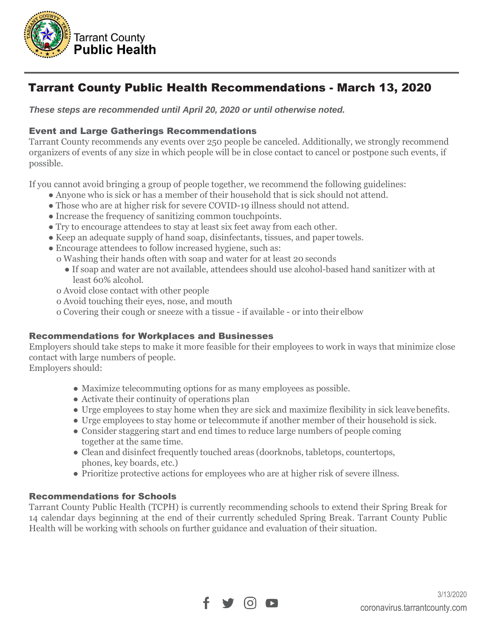

# Tarrant County Public Health Recommendations - March 13, 2020

*These steps are recommended until April 20, 2020 or until otherwise noted.*

## Event and Large Gatherings Recommendations

Tarrant County recommends any events over 250 people be canceled. Additionally, we strongly recommend organizers of events of any size in which people will be in close contact to cancel or postpone such events, if possible.

If you cannot avoid bringing a group of people together, we recommend the following guidelines:

- Anyone who is sick or has a member of their household that is sick should not attend.
- Those who are at higher risk for severe COVID-19 illness should not attend.
- Increase the frequency of sanitizing common touch points.
- Try to encourage attendees to stay at least six feet away from each other.
- Keep an adequate supply of hand soap, disinfectants, tissues, and paper towels.
- Encourage attendees to follow increased hygiene, such as:
	- o Washing their hands often with soap and water for at least 20 seconds
		- If soap and water are not available, attendees should use alcohol-based hand sanitizer with at least 60% alcohol.
	- o Avoid close contact with other people
	- o Avoid touching their eyes, nose, and mouth
	- o Covering their cough or sneeze with a tissue if available or into their elbow

## Recommendations for Workplaces and Businesses

Employers should take steps to make it more feasible for their employees to work in ways that minimize close contact with large numbers of people.

Employers should:

- Maximize telecommuting options for as many employees as possible.
- Activate their continuity of operations plan
- Urge employees to stay home when they are sick and maximize flexibility in sick leave benefits.
- Urge employees to stay home or telecommute if another member of their household is sick.
- Consider staggering start and end times to reduce large numbers of people coming together at the same time.
- Clean and disinfect frequently touched areas (doorknobs, tabletops, countertops, phones, key boards, etc.)
- Prioritize protective actions for employees who are at higher risk of severe illness.

## Recommendations for Schools

Tarrant County Public Health (TCPH) is currently recommending schools to extend their Spring Break for 14 calendar days beginning at the end of their currently scheduled Spring Break. Tarrant County Public Health will be working with schools on further guidance and evaluation of their situation.

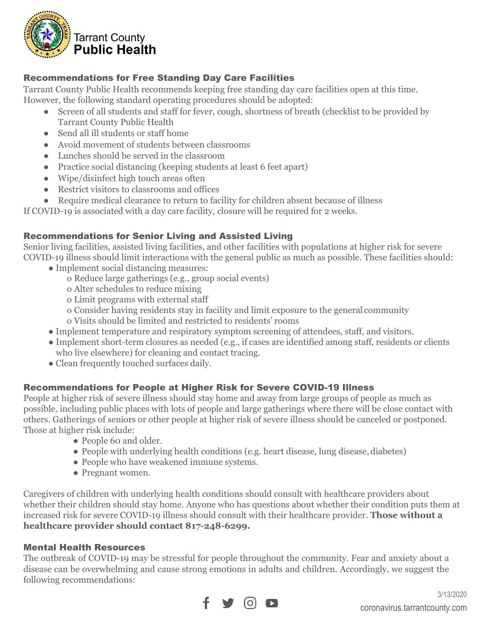

# Recommendations for Free Standing Day Care Facilities

Tarrant County Public Health recommends keeping free standing day care facilities open at this time.

However, the following standard operating procedures should be adopted:

- Screen of all students and staff for fever, cough, shortness of breath (checklist to be provided by Tarrant County Public Health
- Send all ill students or staff home
- Avoid movement of students between classrooms
- Lunches should be served in the classroom
- Practice social distancing (keeping students at least 6 feet apart)
- Wipe/disinfect high touch areas often
- Restrict visitors to classrooms and offices
- Require medical clearance to return to facility for children absent because of illness

If COVID-19 is associated with a day care facility, closure will be required for 2 weeks.

## Recommendations for Senior Living and Assisted Living

Senior living facilities, assisted living facilities, and other facilities with populations at higher risk for severe COVID-19 illness should limit interactions with the general public as much as possible. These facilities should:

- Implement social distancing measures:
	- o Reduce large gatherings (e.g., group social events)
	- o Alter schedules to reduce mixing
	- o Limit programs with external staff
	- o Consider having residents stay in facility and limit exposure to the general community o Visits should be limited and restricted to residents' rooms
- Implement temperature and respiratory symptom screening of attendees, staff, and visitors.
- Implement short-term closures as needed (e.g., if cases are identified among staff, residents or clients who live elsewhere) for cleaning and contact tracing.
- Clean frequently touched surfaces daily.

# Recommendations for People at Higher Risk for Severe COVID-19 Illness

People at higher risk of severe illness should stay home and away from large groups of people as much as possible, including public places with lots of people and large gatherings where there will be close contact with others. Gatherings of seniors or other people at higher risk of severe illness should be canceled or postponed. Those at higher risk include:

- People 60 and older.
- People with underlying health conditions (e.g. heart disease, lung disease, diabetes)
- People who have weakened immune systems.
- Pregnant women.

Caregivers of children with underlying health conditions should consult with healthcare providers about whether their children should stay home. Anyone who has questions about whether their condition puts them at increased risk for severe COVID-19 illness should consult with their healthcare provider. **Those without a healthcare provider should contact 817-248-6299.**

## Mental Health Resources

The outbreak of COVID-19 may be stressful for people throughout the community. Fear and anxiety about a disease can be overwhelming and cause strong emotions in adults and children. Accordingly, we suggest the following recommendations: